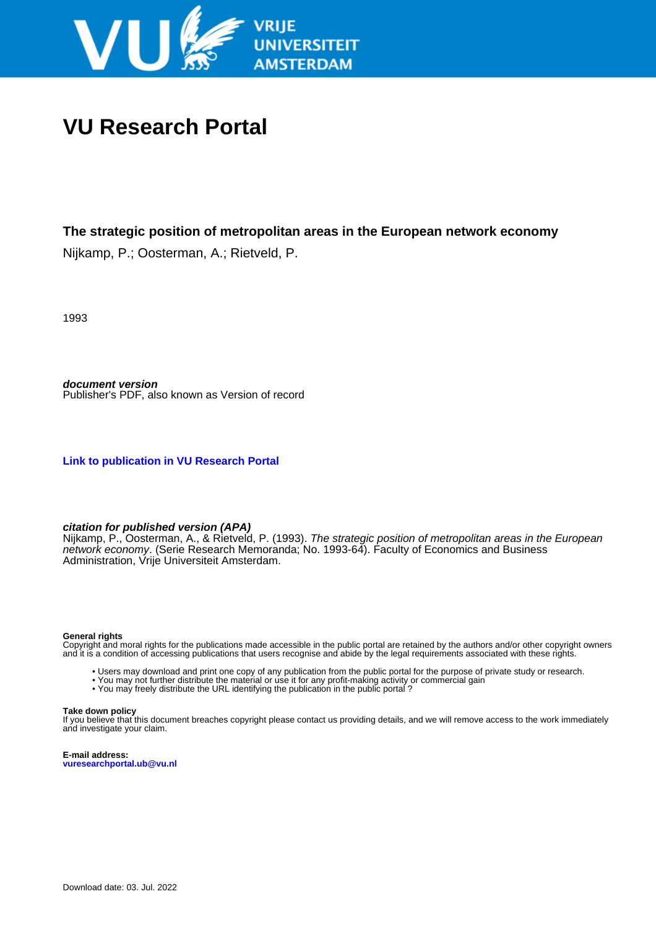

# **VU Research Portal**

# **The strategic position of metropolitan areas in the European network economy**

Nijkamp, P.; Oosterman, A.; Rietveld, P.

1993

**document version** Publisher's PDF, also known as Version of record

**[Link to publication in VU Research Portal](https://research.vu.nl/en/publications/5a7e3b07-c1f7-4bba-ba7d-125c8e5d4b2b)**

#### **citation for published version (APA)**

Nijkamp, P., Oosterman, A., & Rietveld, P. (1993). *The strategic position of metropolitan areas in the European* network economy. (Serie Research Memoranda; No. 1993-64). Faculty of Economics and Business Administration, Vrije Universiteit Amsterdam.

#### **General rights**

Copyright and moral rights for the publications made accessible in the public portal are retained by the authors and/or other copyright owners and it is a condition of accessing publications that users recognise and abide by the legal requirements associated with these rights.

- Users may download and print one copy of any publication from the public portal for the purpose of private study or research.
- You may not further distribute the material or use it for any profit-making activity or commercial gain
- You may freely distribute the URL identifying the publication in the public portal?

#### **Take down policy**

If you believe that this document breaches copyright please contact us providing details, and we will remove access to the work immediately and investigate your claim.

**E-mail address: vuresearchportal.ub@vu.nl**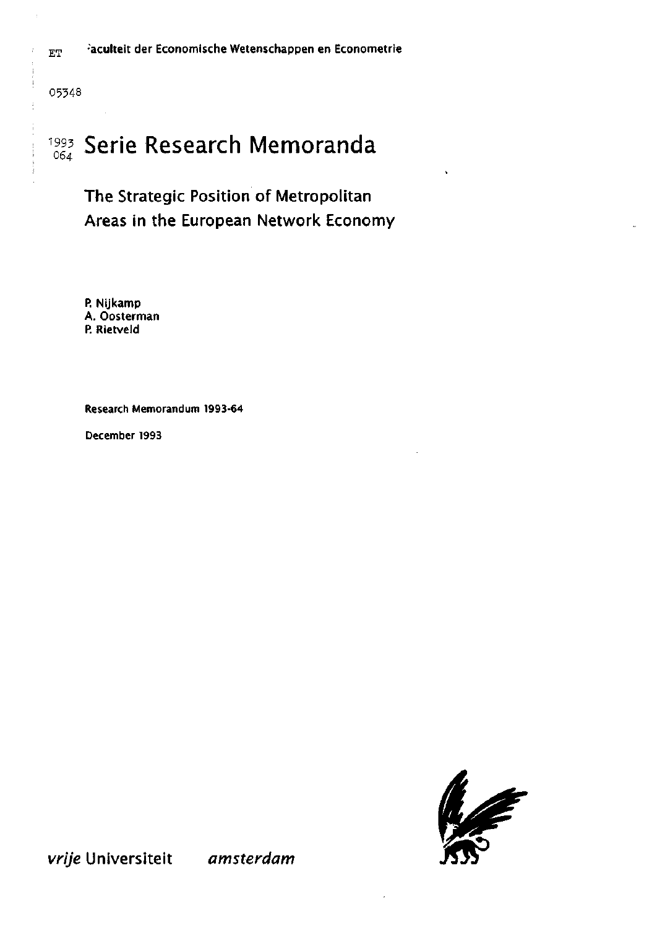$_{ET}$   $=$   $\frac{1}{2}$  aculteit der Economische Wetenschappen en Econometrie

05348

Ť  $\ddot{\cdot}$ 

 $\frac{1}{2}$ 

# 993 Serie Research Memoranda  $\mathbf{1}$

# The Strategie Position of Metropolitan Areas in the European Network Economy

P. Nijkamp A. Oosterman P. Rietveld

Research Memorandum 1993-64

December 1993



vrije Universiteit amsterdam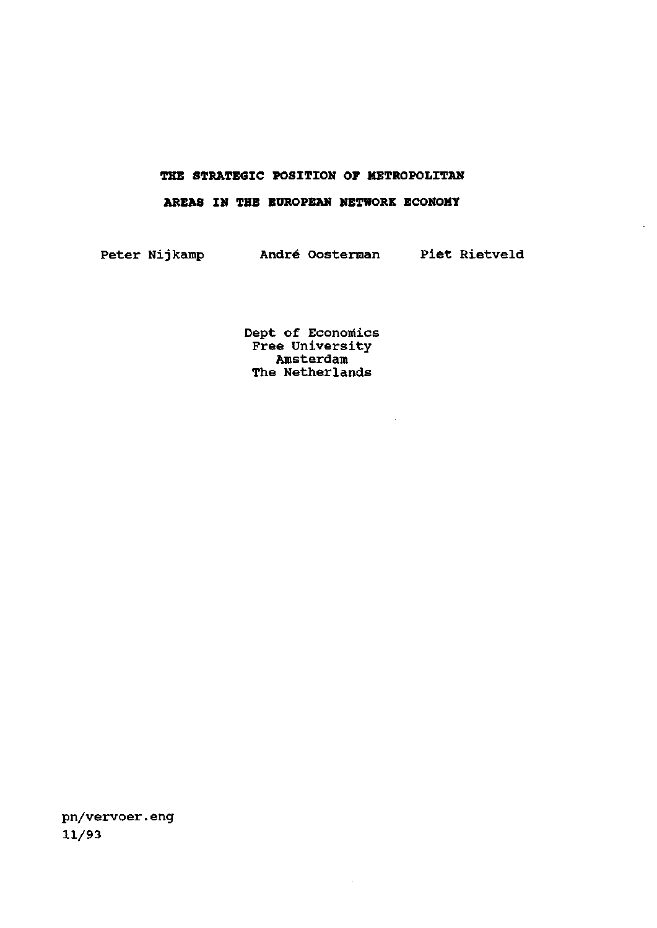### **THE STRATEGIC POSITION OF METROPOLITAN**

## **AREAS IN THE EUROPEAN NETWORK ECONOMY**

Peter Nijkamp André Oosterman Piet Rietveld

 $\ddot{\phantom{a}}$ 

Dept of Economics Free University Amsterdam The Netherlands

 $\sim 10^7$ 

 $\bar{z}$ 

pn/vervoer.eng 11/93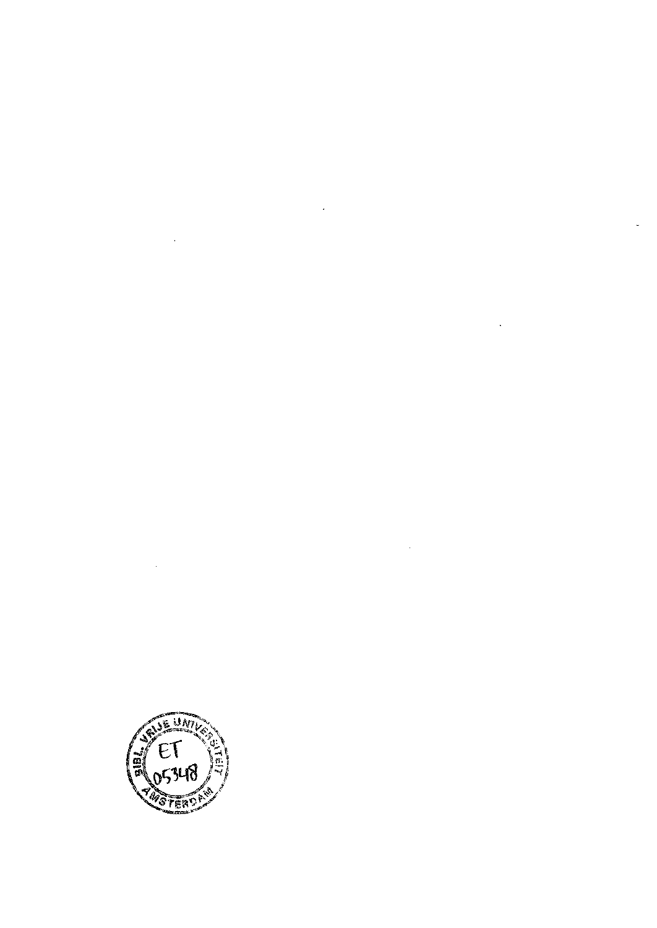

 $\label{eq:2.1} \frac{1}{\sqrt{2}}\int_{\mathbb{R}^3}\frac{1}{\sqrt{2}}\left(\frac{1}{\sqrt{2}}\right)^2\frac{1}{\sqrt{2}}\left(\frac{1}{\sqrt{2}}\right)^2\frac{1}{\sqrt{2}}\left(\frac{1}{\sqrt{2}}\right)^2\frac{1}{\sqrt{2}}\left(\frac{1}{\sqrt{2}}\right)^2.$ 

 $\label{eq:2.1} \mathcal{L}(\mathcal{L}^{\text{max}}_{\mathcal{L}}(\mathcal{L}^{\text{max}}_{\mathcal{L}})) \leq \mathcal{L}(\mathcal{L}^{\text{max}}_{\mathcal{L}}(\mathcal{L}^{\text{max}}_{\mathcal{L}}))$ 

 $\label{eq:2} \frac{1}{\sqrt{2}}\left(\frac{1}{\sqrt{2}}\right)^2\left(\frac{1}{\sqrt{2}}\right)^2.$ 

 $\frac{1}{2} \sum_{i=1}^{n} \frac{1}{2} \sum_{j=1}^{n} \frac{1}{2} \sum_{j=1}^{n} \frac{1}{2} \sum_{j=1}^{n} \frac{1}{2} \sum_{j=1}^{n} \frac{1}{2} \sum_{j=1}^{n} \frac{1}{2} \sum_{j=1}^{n} \frac{1}{2} \sum_{j=1}^{n} \frac{1}{2} \sum_{j=1}^{n} \frac{1}{2} \sum_{j=1}^{n} \frac{1}{2} \sum_{j=1}^{n} \frac{1}{2} \sum_{j=1}^{n} \frac{1}{2} \sum_{j=1}^{n$ 

 $\mathcal{L}(\mathcal{A})$  and  $\mathcal{L}(\mathcal{A})$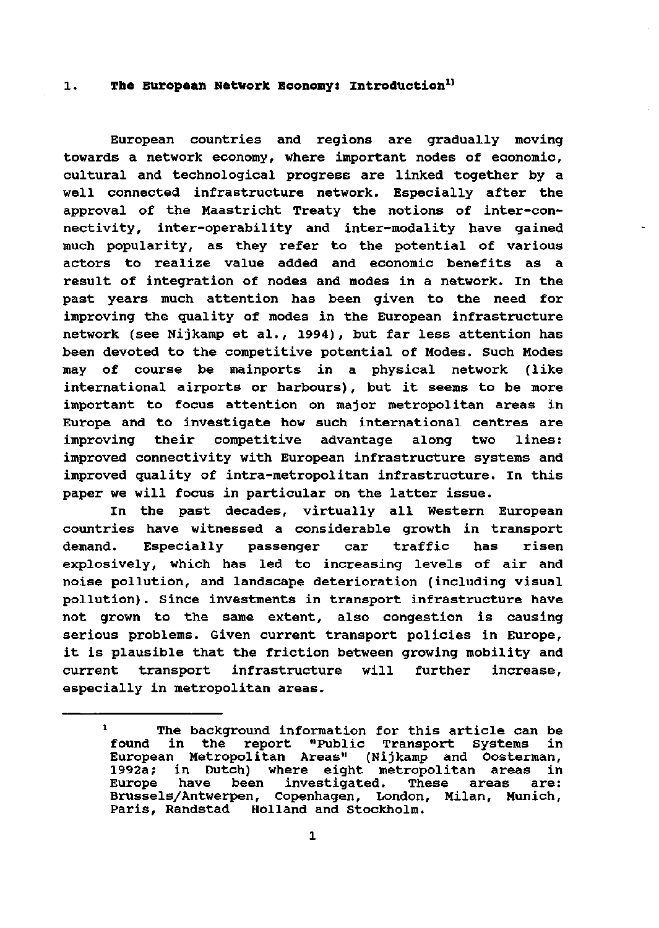# **l. The European Network Economy: Introduction<sup>1</sup>'**

European countries and regions are gradually moving towards a network economy, where important nodes of economie, cultural and technological progress are linked together by a well connected infrastructure network. Especially after the approval of the Maastricht Treaty the notions of inter-connectivity, inter-operability and inter-modality have gained much popularity, as they refer to the potential of various actors to realize value added and economie benefits as a result of integration of nodes and modes in a network. In the past years much attention has been given to the need for improving the quality of modes in the European infrastructure network (see Nijkamp et al., 1994), but far less attention has been devoted to the competitive potential of Modes. Such Modes may of course be mainports in a physical network (like international airports or harbours), but it seems to be more important to focus attention on major metropolitan areas in Europe and to investigate how such international centres are improving their competitive advantage along two lines: improved connectivity with European infrastructure systems and improved quality of intra-metropolitan infrastructure. In this paper we will focus in particular on the latter issue.

In the past decades, virtually all Western European countries have witnessed a considerable growth in transport demand. Especially passenger car traffic has risen explosively, which has led to increasing levels of air and noise pollution, and landscape deterioration (including visual pollution). Since investments in transport infrastructure have not grown to the same extent, also congestion is causing serious problems. Given current transport policies in Europe, it is plausible that the friction between growing mobility and current transport infrastructure will further increase, especially in metropolitan areas.

 $\mathbf{1}$ The background information for this article can be found in the report "Public Transport Systems in European Metropolitan Areas" (Nijkamp and Oosterman, 1992a; in Dutch) where eight metropolitan areas in Europe have been investigated. These areas are: Brussels/Antwerpen, Copenhagen, London, Milan, Munich, Paris, Randstad Holland and Stockholm.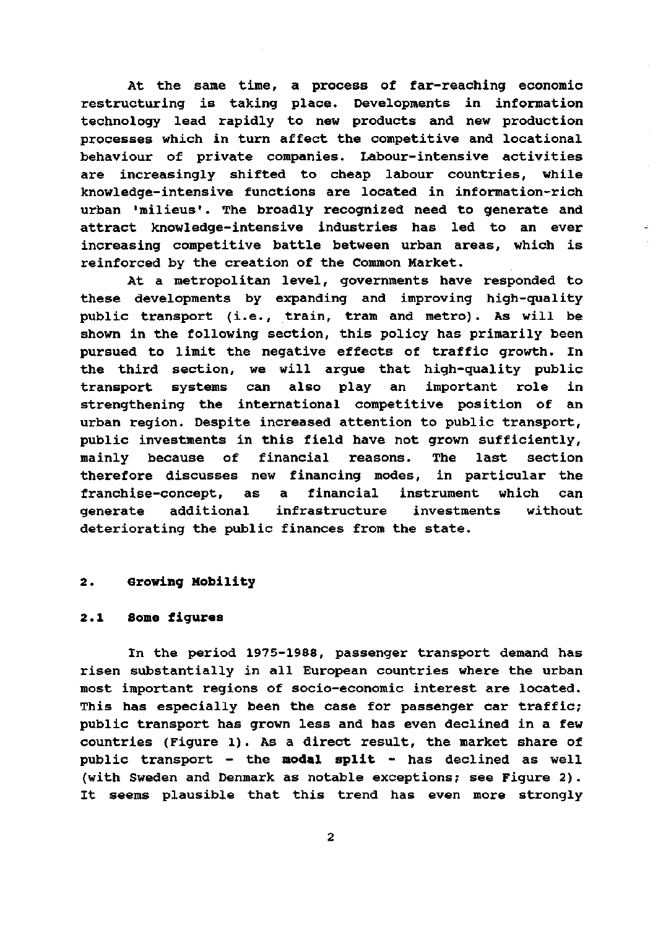At the same time, a process of far-reaching economie restructuring is taking place. Developments in information technology lead rapidly to new products and new production processes which in turn affect the competitive and locational behaviour of private companies. Labour-intensive activities are increasingly shifted to cheap labour countries, while knowledge-intensive functions are located in information-rich urban 'milieus'. The broadly recognized need to generate and attract knowledge-intensive industries has led to an ever increasing competitive battle between urban areas, which is reinforced by the creation of the Common Market.

At a metropolitan level, governments have responded to these developments by expanding and improving high-quality public transport (i.e., train, tram and metro). As will be shown in the following section, this policy has primarily been pursued to limit the negative effects of traffic growth. In the third section, we will argue that high-quality public transport systems can also play an important role in strengthening the international competitive position of an urban region. Despite increased attention to public transport, public investments in this field have not grown sufficiently, mainly because of financial reasons. The last section therefore discusses new financing modes, in particular the franchise-concept, as a financial instrument which can generate additional infrastructure investments without deteriorating the public finances from the state.

# **2. Growing Mobility**

### **2.1 Some figures**

In the period 1975-1988, passenger transport demand has risen substantially in all European countries where the urban most important regions of socio-economic interest are located. This has especially been the case for passenger car traffic; public transport has grown less and has even declined in a few countries (Figure 1). As a direct result, the market share of public transport — the **modal split** - has declined as well (with Sweden and Denmark as notable exceptions; see Figure 2). It seems plausible that this trend has even more strongly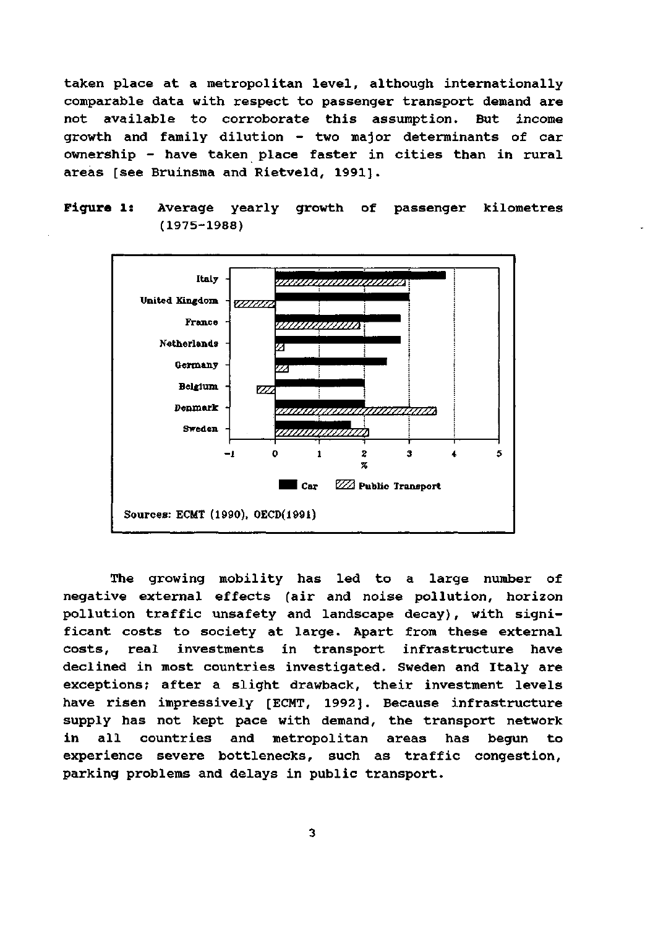taken place at a metropolitan level, although internationally comparable data with respect to passenger transport demand are not available to corroborate this assumption. But income growth and family dilution - two major determinants of car ownership - have taken place faster in cities than in rural areas [see Bruinsma and Rietveld, 1991].





The growing mobility has led to a large number of negative external effects (air and noise pollution, horizon pollution traffie unsafety and landscape decay), with significant costs to society at large. Apart from these external costs, real investments in transport infrastructure have declined in most countries investigated. Sweden and Italy are exceptions; after a slight drawback, their investment levels have risen impressively [ECMT, 1992]. Because infrastructure supply has not kept pace with demand, the transport network in all countries and metropolitan areas has begun to experience severe bottlenecks, such as traffie congestion, parking problems and delays in public transport.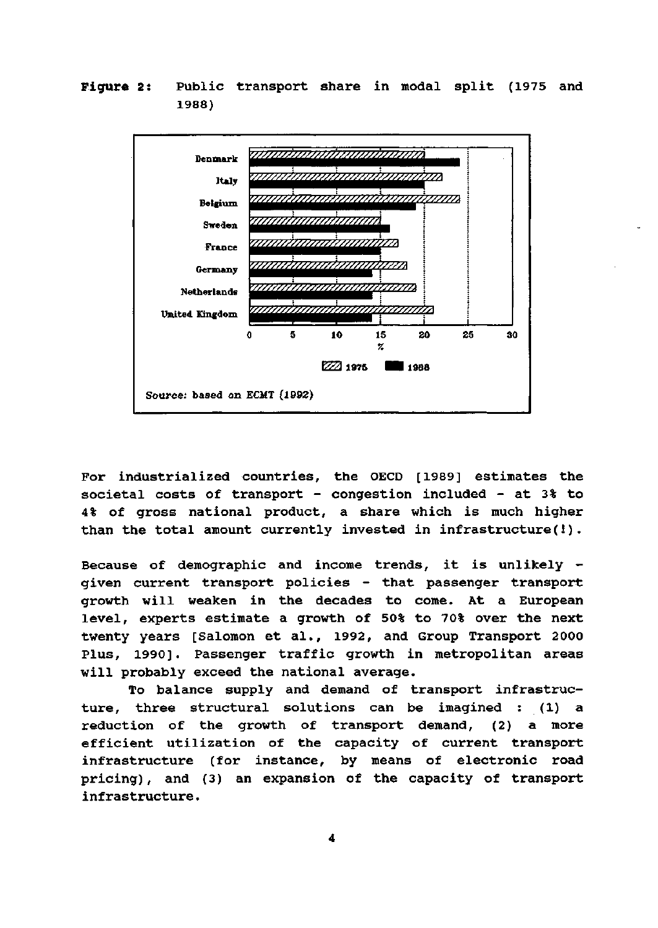Figure 2: Public transport share in modal split (1975 and 1988)



For industrialized countries, the OECD [1989] estimates the societal costs of transport - congestion included - at 3% to 4% of gross national product, a share which is much higher than the total amount currently invested in infrastructure(!).

Because of demographic and income trends, it is unlikely given current transport policies - that passenger transport growth will weaken in the decades to come. At a European level, experts estimate a growth of 50% to 70% over the next twenty years [Salomon et al., 1992, and Group Transport 2000 Plus, 1990]. Passenger traffic growth in metropolitan areas will probably exceed the national average.

To balance supply and demand of transport infrastructure, three structural solutions can be imagined : (1) a reduction of the growth of transport demand, (2) a more efficiënt utilization of the capacity of current transport infrastructure (for instance, by means of electronic road pricing) , and (3) an expansion of the capacity of transport infrastructure.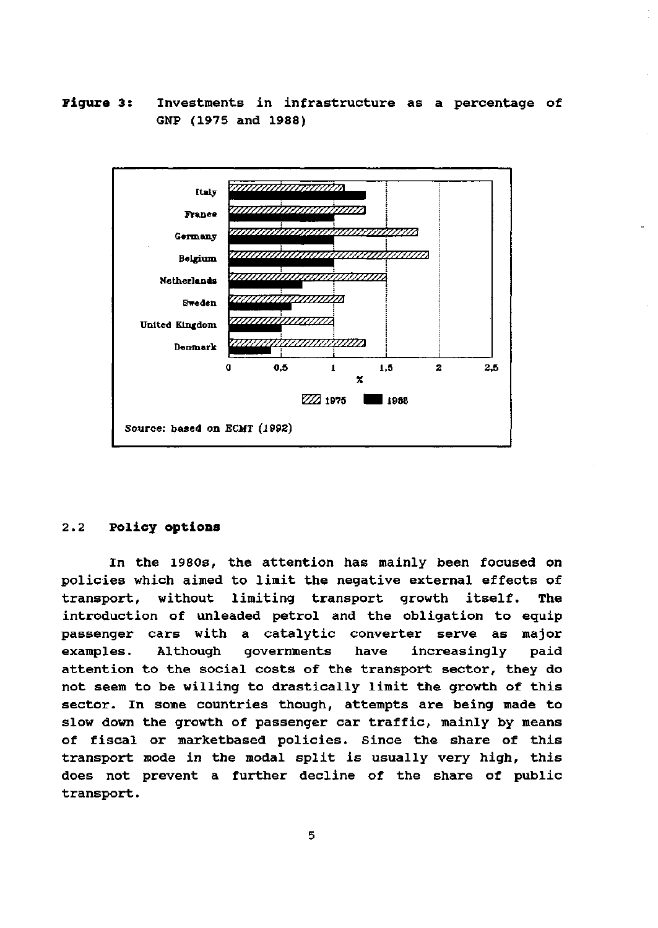F**i**gure 3: Investments in infrastructure as a percentage of GNP (1975 and 1988)



#### **2.2 Policy options**

In the 198Os, the attention has mainly been focused on policies which aimed to limit the negative external effects of transport, without limiting transport growth itself. The introduction of unleaded petrol and the obligation to equip passenger cars with a catalytic converter serve as major examples. Although governments have increasingly paid attention to the social costs of the transport sector, they do not seem to be willing to drastically limit the growth of this sector. In some countries though, attempts are being made to slow down the growth of passenger car traffic, mainly by means of fiscal or marketbased policies. Since the share of this transport mode in the modal split is usually very high, this does not prevent a further decline of the share of public transport.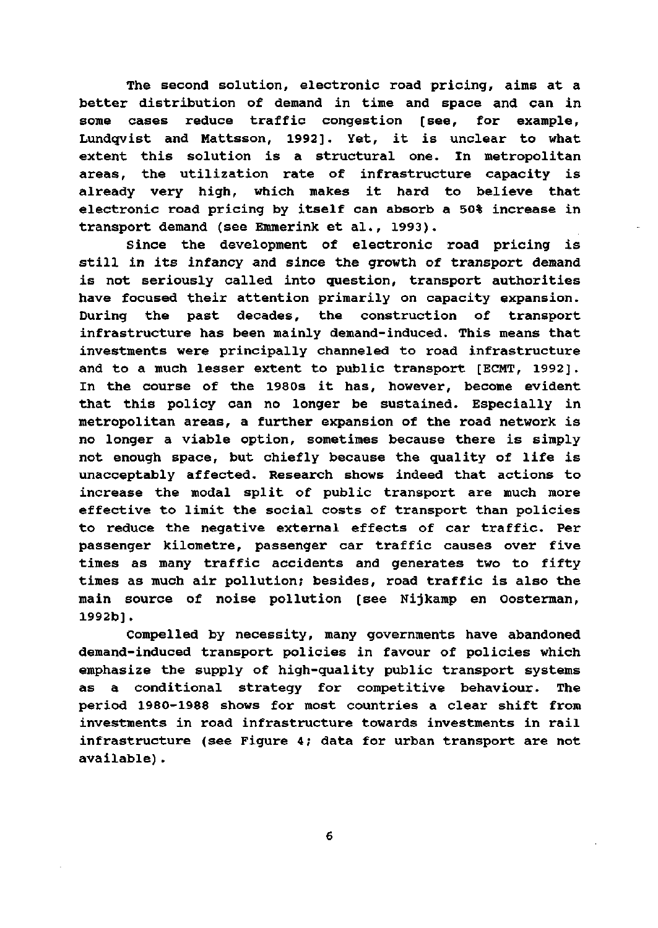The second solution, electronic road pricing, aims at a better distribution of demand in time and space and can in some cases reduce traffic congestion [see, for example, Lundqvist and Mattsson, 1992]. Yet, it is unclear to what extent this solution is a structural one. In metropolitan areas, the utilization rate of infrastructure capacity is already very high, which makes it hard to believe that electronic road pricing by itself can absorb a 50% increase in transport demand (see Emmerink et al., 1993).

Since the development of electronic road pricing is still in its infancy and since the growth of transport demand is not seriously called into guestion, transport authorities have focused their attention primarily on capacity expansion. During the past decades, the construction of transport infrastructure has been mainly demand-induced. This means that investments were principally channeled to road infrastructure and to a much lesser extent to public transport [ECMT, 1992]. In the course of the 1980s it has, however, become evident that this policy can no longer be sustained. Especially in metropolitan areas, a further expansion of the road network is no longer a viable option, sometimes because there is simply not enough space, but chiefly because the quality of life is unacceptably affected. Research shows indeed that actions to increase the modal split of public transport are much more effective to limit the social costs of transport than policies to reduce the negative external effects of car traffic. Per passenger kilometre, passenger car traffic causes over five times as many traffic accidents and generates two to fifty times as much air pollution; besides, road traffic is also the main source of noise pollution [see Nijkamp en Oosterman, 1992b].

Compelled by necessity, many governments have abandoned demand-induced transport policies in favour of policies which emphasize the supply of high-quality public transport systems as a conditional strategy for competitive behaviour. The period 1980-1988 shows for most countries a clear shift from investments in road infrastructure towards investments in rail infrastructure (see Figure 4; data for urban transport are not available).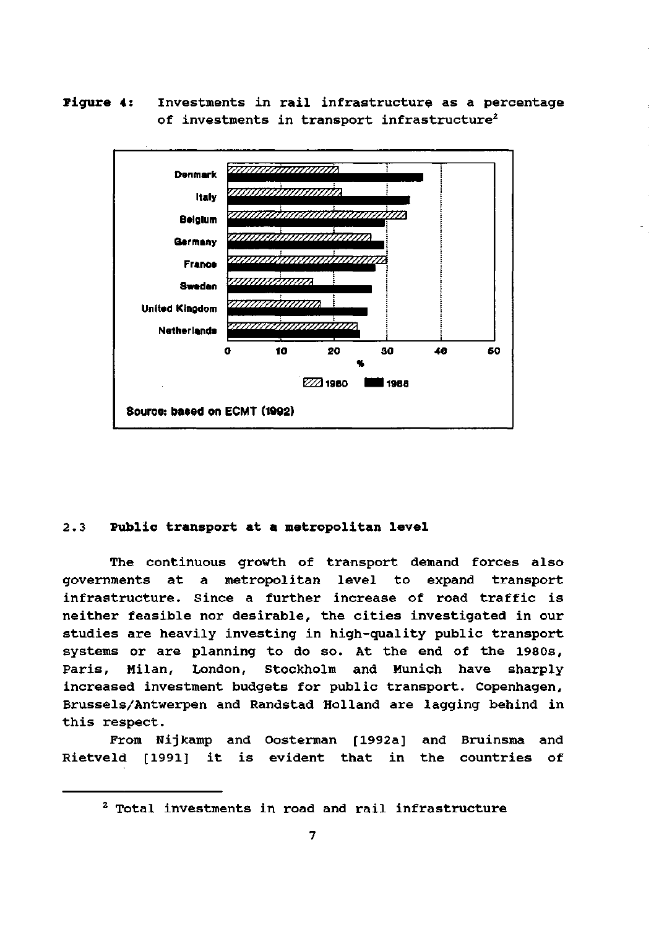**Pigure** 4: Investments in rail infrastructure as a percentage of investments in transport infrastructure<sup>2</sup>



#### 2.3 **Public transport at a metropolitan level**

The continuous growth of transport demand forces also governments at a metropolitan level to expand transport infrastructure. Since a further increase of road traffic is neither feasible nor desirable, the cities investigated in our studies are heavily investing in high-quality public transport systems or are planning to do so. At the end of the 1980s, Paris, Milan, London, Stockholm and Munich have sharply increased investment budgets for public transport. Copenhagen, Brussels/Antwerpen and Randstad Holland are lagging behind in this respect.

From Nijkamp and Oosterman [1992a] and Bruinsma and Rietveld [1991] it is evident that in the countries of

<sup>2</sup> Total investments in road and rail infrastructure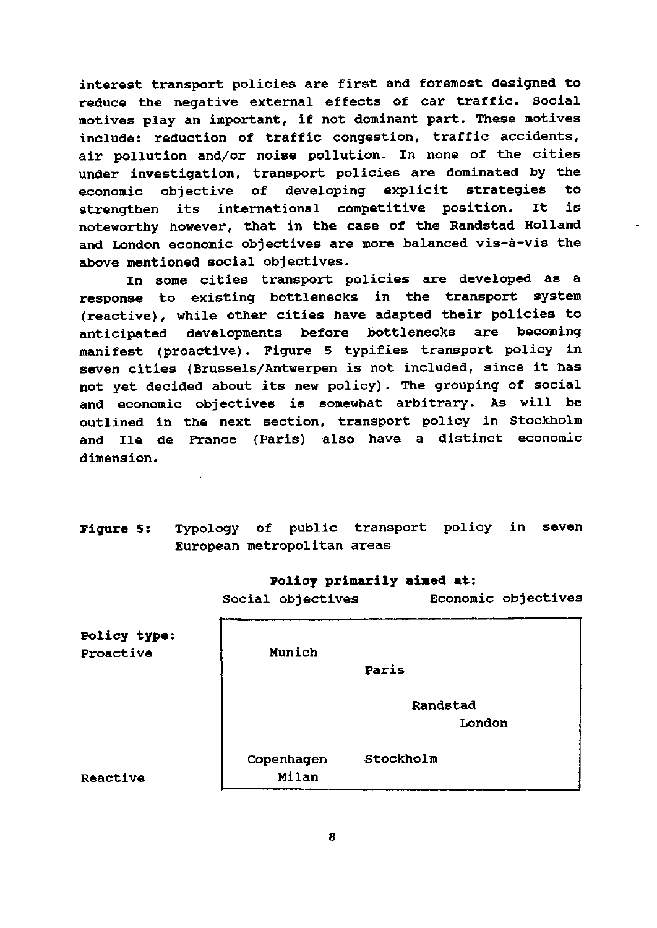interest transport policies are first and foremost designed to reduce the negative external effects of car traffic. Social motives play an important, if not dominant part. These motives include: reduction of traffic congestion, traffic accidents, air pollution and/or noise pollution. In none of the cities under investigation, transport policies are dominated by the economie objective of developing explicit strategies to strengthen its international competitive position. It is noteworthy however, that in the case of the Randstad Holland and London economie objectives are more balanced vis-a-vis the above mentioned social objectives.

In some cities transport policies are developed as a response to existing bottlenecks in the transport system (reactive), while other cities have adapted their policies to anticipated developments before bottlenecks are becoming manifest (proactive). Figure 5 typifies transport policy in seven cities (Brussels/Antwerpen is not included, since it has not yet decided about its new policy). The grouping of social and economie objectives is somewhat arbitrary. As will be outlined in the next section, transport policy in Stockholm and Ile de France (Paris) also have a distinct economie dimension.

**Figure 5s** Typology of public transport policy in seven European metropolitan areas

### **Policy primarily aimed at:**

Social objectives Economie objectives

| Policy type:<br>Proactive | Munich              |                    |
|---------------------------|---------------------|--------------------|
|                           |                     | Paris              |
|                           |                     | Randstad<br>London |
| <b>Reactive</b>           | Copenhagen<br>Milan | Stockholm          |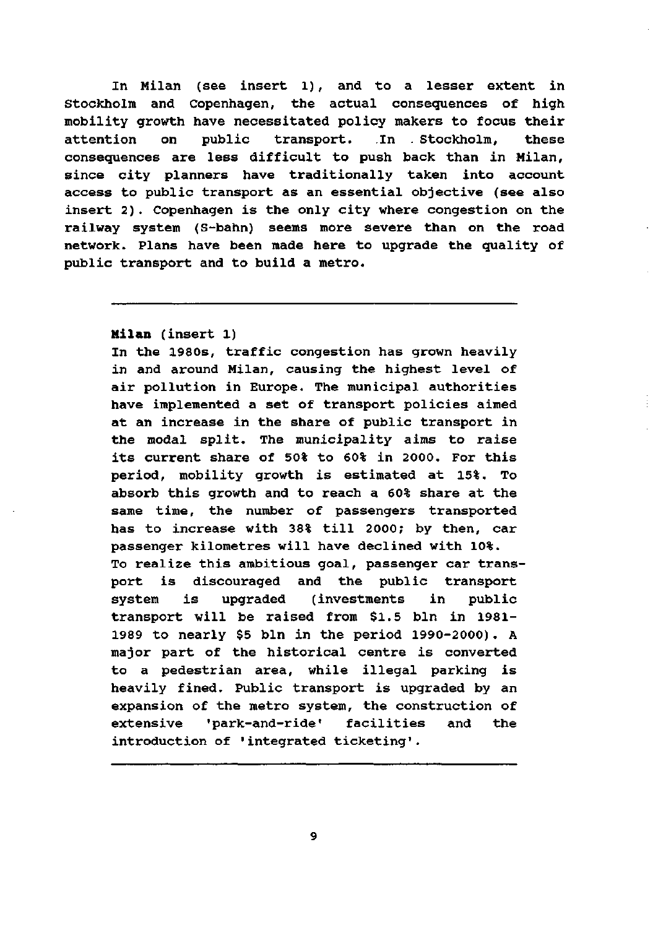In Milan (see insert 1), and to a lesser extent in Stockholm and Copenhagen, the actual consequences of high mobility growth have necessitated policy makers to focus their attention on public transport. In . Stockholm, these consequences are less difficult to push back than in Milan, since city planners have traditionally taken into account access to public transport as an essential objective (see also insert 2). Copenhagen is the only city where congestion on the railway system (S-bahn) seems more severe than on the road network. Plans have been made here to upgrade the quality of public transport and to build a metro.

## **Milan** (insert 1)

In the 1980s, traffic congestion has grown heavily in and around Milan, causing the highest level of air pollution in Europe. The municipal authorities have implemented a set of transport policies aimed at an increase in the share of public transport in the modal split. The municipality aims to raise its current share of 50% to 60% in 2000. For this period, mobility growth is estimated at 15%. To absorb this growth and to reach a 60% share at the same time, the number of passengers transported has to increase with 38% till 2000; by then, car passenger kilometres will have declined with 10%. To realize this ambitious goal, passenger car transport is discouraged and the public transport system is upgraded (investments in public transport will be raised from \$1.5 bln in 1981- 1989 to nearly \$5 bln in the period 1990-2000) . A major part of the historical centre is converted to a pedestrian area, while illegal parking is heavily fined. Public transport is upgraded by an expansion of the metro system, the construction of extensive 'park-and-ride' facilities and the introduction of 'integrated ticketing'.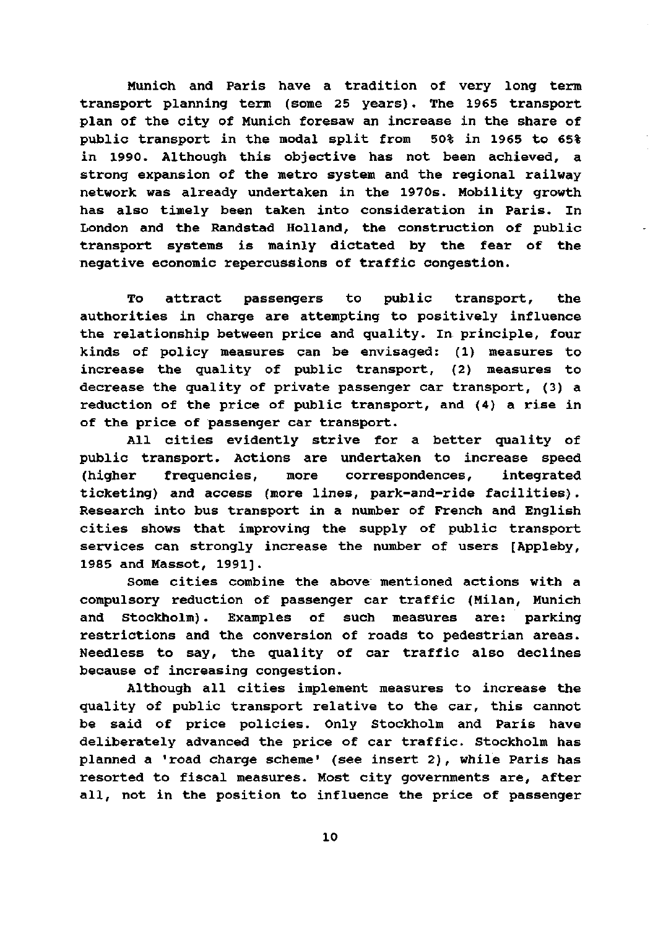Munich and Paris have a tradition of very long term transport planning term (some 25 years). The 1965 transport plan of the city of Munich foresaw an increase in the share of public transport in the modal split from 50% in 1965 to 65% in 1990. Although this objective has not been achieved, a strong expansion of the metro system and the regional railway network was already undertaken in the 1970s. Mobility growth has also timely been taken into consideration in Paris. In London and the Randstad Holland, the construction of public transport systems is mainly dictated by the fear of the negative economie repercussions of traffic congestion.

To attract passengers to public transport, the authorities in charge are attempting to positively influence the relationship between price and quality. In principle, four kinds of policy measures can be envisaged: (1) measures to increase the quality of public transport, (2) measures to decrease the quality of private passenger car transport, (3) a reduction of the price of public transport, and (4) a rise in of the price of passenger car transport.

All cities evidently strive for a better quality of public transport. Actions are undertaken to increase speed (higher frequencies, more correspondences, integrated ticketing) and access (more lines, park-and-ride facilities). Research into bus transport in a number of French and English cities shows that improving the supply of public transport services can strongly increase the number of users [Appleby, 1985 and Massot, 1991].

Some cities combine the above mentioned actions with a compulsory reduction of passenger car traffic (Milan, Munich and Stockholm). Examples of such measures are: parking restrictions and the conversion of roads to pedestrian areas. Needless to say, the quality of car traffic also declines because of increasing congestion.

Although all cities implement measures to increase the quality of public transport relative to the car, this cannot be said of price policies. Only Stockholm and Paris have deliberately advanced the price of car traffic. Stockholm has planned a 'road charge scheme' (see insert 2), while Paris has resorted to fiscal measures. Most city governments are, after all, not in the position to influence the price of passenger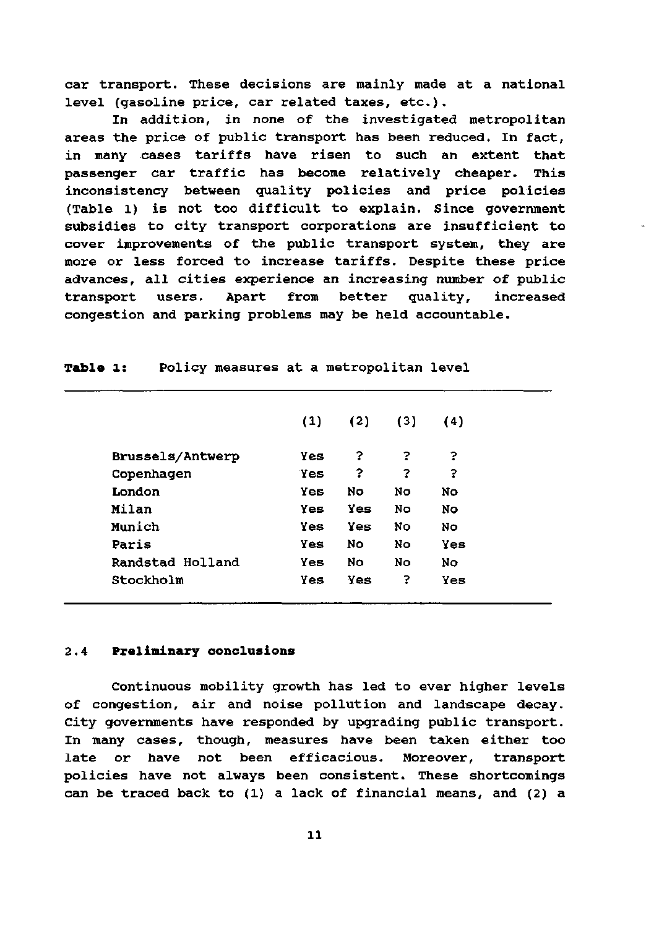car transport. These decisions are mainly made at a national level (gasoline price, car related taxes, etc) .

In addition, in none of the investigated metropolitan areas the price of public transport has been reduced. In fact, in many cases tariffs have risen to such an extent that passenger car traffic has become relatively cheaper. This inconsistency between quality policies and price policies (Table 1) is not too difficult to explain. Since government subsidies to city transport corporations are insufficient to cover improvements of the public transport system, they are more or less forced to increase tariffs. Despite these price advances, all cities experience an increasing number of public transport users. Apart from better quality, increased congestion and parking problems may be held accountable.

|                  | (1) | (2) | (3) | (4) |
|------------------|-----|-----|-----|-----|
| Brussels/Antwerp | Yes | ?   | 2   | ?   |
| Copenhagen       | Yes | ?   | 3   | ?   |
| London           | Yes | No  | No. | No. |
| Milan            | Yes | Yes | No. | No. |
| Munich           | Yes | Yes | No. | No. |
| Paris            | Yes | No  | No. | Yes |
| Randstad Holland | Yes | No  | No. | No  |
| Stockholm        | Yes | Yes | 3   | Yes |
|                  |     |     |     |     |

**Table** 1: Policy measures at a metropolitan level

#### 2.4 Preliminary conclusions

Continuous mobility growth has led to ever higher levels of congestion, air and noise pollution and landscape decay. City governments have responded by upgrading public transport. In many cases, though, measures have been taken either too late or have not been efficacious. Moreover, transport policies have not always been consistent. These shortcomings can be traced back to (1) a lack of financial means, and (2) a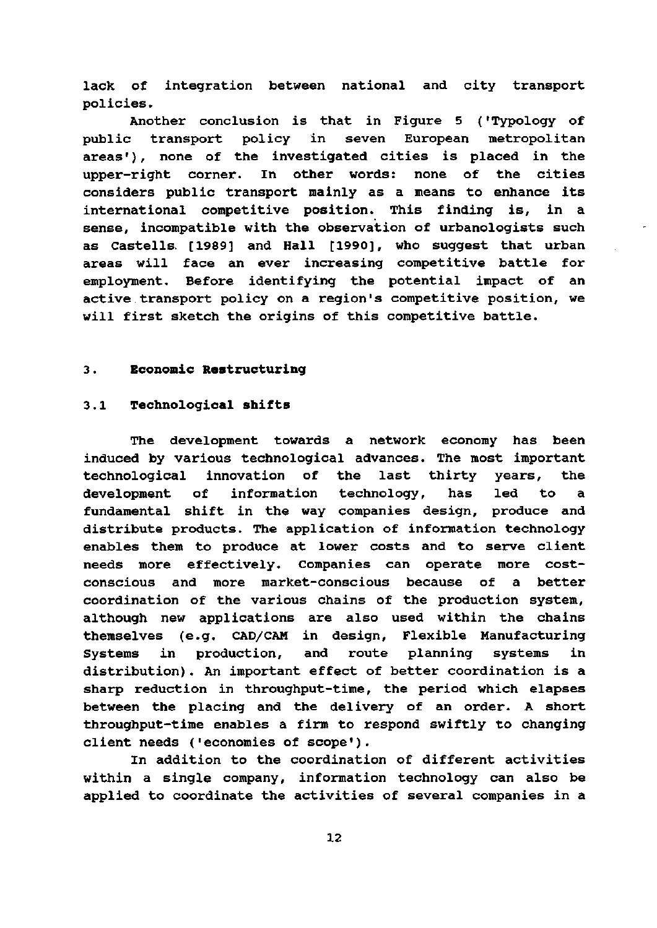lack of integration between national and city transport policies.

Another conclusion is that in Figure 5 ('Typology of public transport policy in seven European metropolitan areas'), none of the investigated cities is placed in the upper-right corner. In other words: none of the cities considers public transport mainly as a means to enhance its international competitive position. This finding is, in a sense, incompatible with the observation of urbanologists such as Castells. [1989] and Hall [1990], who suggest that urban areas will face an ever increasing competitive battle for employment. Before identifying the potential impact of an active transport policy on a region's competitive position, we will first sketch the origins of this competitive battle.

#### 3. **Economie Restructuring**

#### 3.1 **Technological shifts**

The development towards a network economy has been induced by various technological advances. The most important technological innovation of the last thirty years, the development of information technology, has led to a fundamental shift in the way companies design, produce and distribute products. The application of information technology enables them to produce at lower costs and to serve client needs more effectively. Companies can operate more costconscious and more market-conscious because of a better coordination of the various chains of the production system, although new applications are also used within the chains themselves (e.g. CAD/CAM in design, Flexible Manufacturing Systems in production, and route planning systems in distribution). An important effect of better coordination is a sharp reduction in throughput-time, the period which elapses between the placing and the delivery of an order. A short throughput-time enables a firm to respond swiftly to changing cliënt needs ('economies of scope').

In addition to the coordination of different activities within a single company, information technology can also be applied to coordinate the activities of several companies in a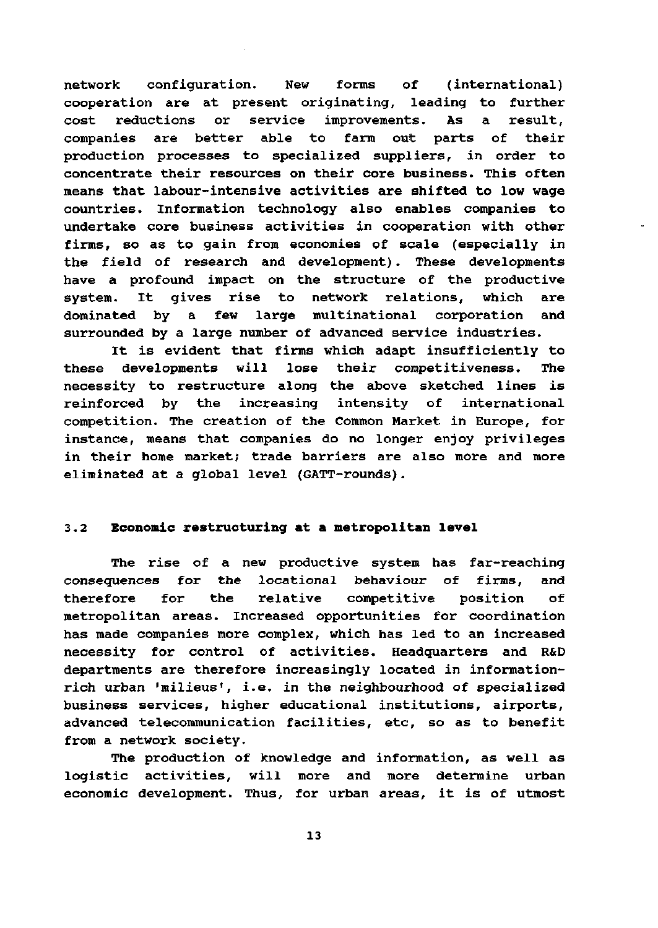network configuration. New forms of (international) cooperation are at present originating, leading to further cost reductions or service improvements. As a result, companies are better able to farm out parts of their production processes to specialized suppliers, in order to concentrate their resources on their core business. This often means that labour-intensive activities are shifted to low wage countries. Information technology also enables companies to undertake core business activities in cooperation with other firms, so as to gain from economies of scale (especially in the field of research and development). These developments have a profound impact on the structure of the productive system. It gives rise to network relations, which are dominated by a few large multinational corporation and surrounded by a large number of advanced service industries.

It is evident that firms which adapt insufficiently to these developments will lose their competitiveness. The necessity to restructure along the above sketched lines is reinforced by the increasing intensity of international competition. The creation of the Common Market in Europe, for instance, means that companies do no longer enjoy privileges in their home market; trade barriers are also more and more eliminated at a global level (GATT-rounds).

### 3.2 **Economie restructuring at a metropolitan level**

The rise of a new productive system has far-reaching consequences for the locational behaviour of firms, and therefore for the relative competitive position of metropolitan areas. Increased opportunities for coordination has made companies more complex, which has led to an increased necessity for control of activities. Headquarters and R&D departments are therefore increasingly located in informationrich urban 'milieus', i.e. in the neighbourhood of specialized business services, higher educational institutions, airports, advanced telecommunication facilities, etc, so as to benefit from a network society.

The production of knowledge and information, as well as logistic activities, will more and more determine urban economie development. Thus, for urban areas, it is of utmost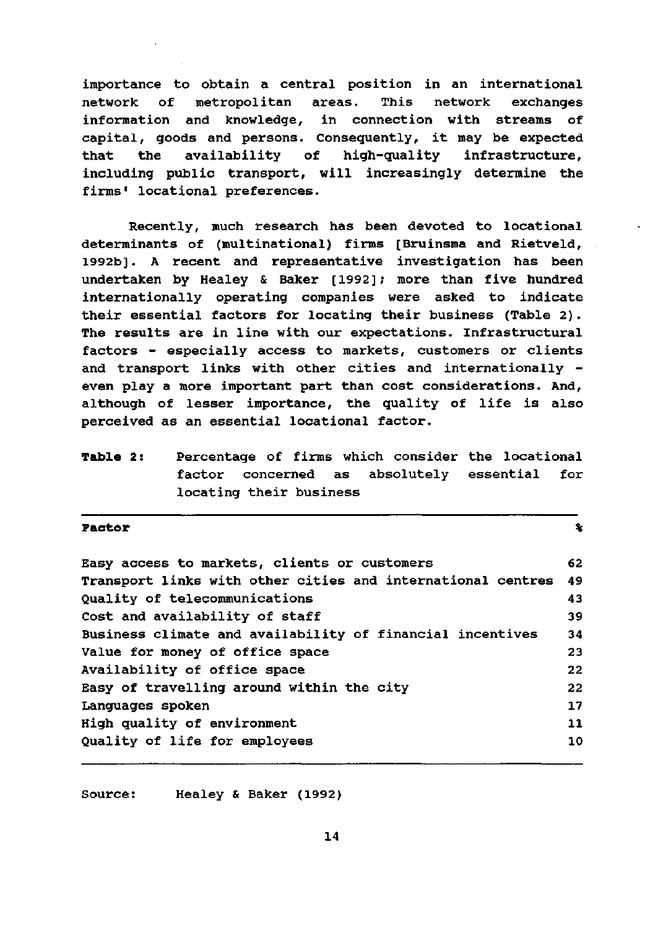importance to obtain a central position in an international network of metropolitan areas. This network exchanges information and knowledge, in connection with streams of capital, goods and persons. Consequently, it may be expected that the availability of high-quality infrastructure, including public transport, will increasingly determine the firms' locational preferences.

Recently, much research has been devoted to locational determinants of (multinational) firms [Bruinsma and Rietveld, 1992b]. A recent and representative investigation has been undertaken by Healey & Baker [1992]; more than five hundred internationally operating companies were asked to indicate their essential factors for locating their business (Table 2). The results are in line with our expectations. Infrastructural factors - especially access to markets, customers or clients and transport links with other cities and internationally even play a more important part than cost considerations. And, although of lesser importance, the quality of life is also perceived as an essential locational factor.

**Table 2:** Percentage of firms which consider the locational factor concerned as absolutely essential for locating their business

**Factor**  $\sim$ 

| Easy access to markets, clients or customers                | 62            |
|-------------------------------------------------------------|---------------|
| Transport links with other cities and international centres | -49           |
| Quality of telecommunications                               | 43            |
| Cost and availability of staff                              | 39            |
| Business climate and availability of financial incentives   | 34            |
| Value for money of office space                             | 23            |
| Availability of office space                                | 22            |
| Easy of travelling around within the city                   | 22            |
| Languages spoken                                            | 17            |
| High quality of environment                                 | $\mathbf{11}$ |
| Quality of life for employees                               | 10            |
|                                                             |               |

Source: Healey & Baker (1992)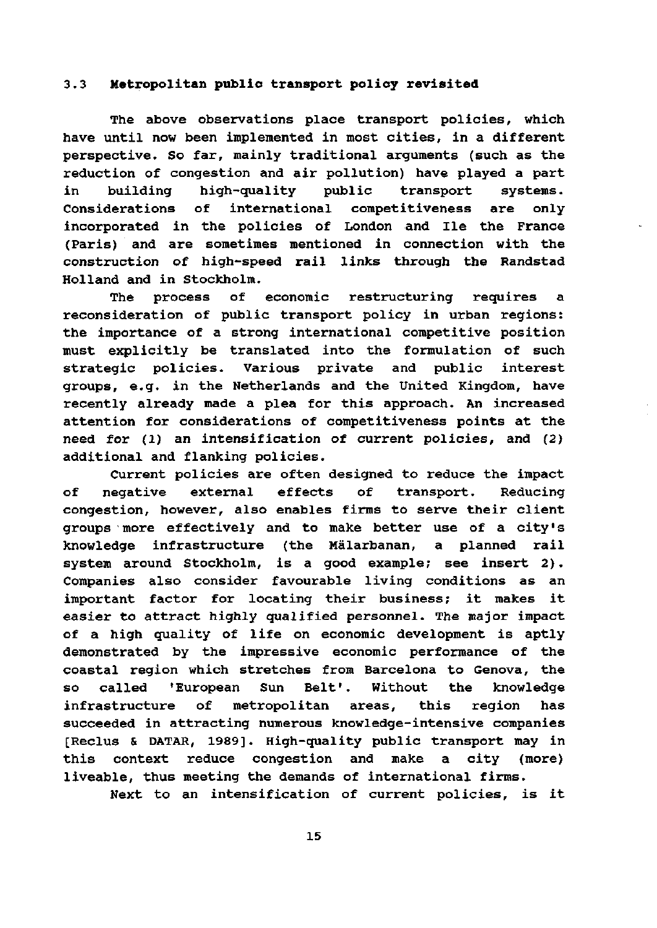### **3.3 Metropolitan public transport policy revisited**

The above observations place transport policies, which have until now been implemented in most cities, in a different perspective. So far, mainly traditional arguments (such as the reduction of congestion and air pollution) have played a part in building high-quality public transport systems. Considerations of international competitiveness are only incorporated in the policies of London and Ile the France (Paris) and are sometimes mentioned in connection with the construction of high-speed rail links through the Randstad Holland and in Stockholm.

The process of economie restructuring requires a reconsideration of public transport policy in urban regions: the importance of a strong international competitive position must explicitly be translated into the formulation of such strategie policies. Various private and public interest groups, e.g. in the Netherlands and the United Kingdom, have recently already made a plea for this approach. An increased attention for considerations of competitiveness points at the need for (1) an intensification of current policies, and (2) additional and flanking policies.

Current policies are often designed to reduce the impact of negative external effects of transport. Reducing congestion, however, also enables firms to serve their client groups more effectively and to make better use of a city's knowledge infrastructure (the Malarbanan, a planned rail system around Stockholm, is a good example; see insert 2) . Companies also consider favourable living conditions as an important factor for locating their business; it makes it easier to attract highly qualified personnel. The major impact of a high quality of life on economie development is aptly demonstrated by the impressive economie performance of the coastal region which stretches from Barcelona to Genova, the so called 'European Sun Belt'. Without the knowledge infrastructure of metropolitan areas, this region has succeeded in attracting numerous knowledge-intensive companies [Reclus & DATAR, 1989]. High-quality public transport may in this context reduce congestion and make a city (more) liveable, thus meeting the demands of international firms.

Next to an intensification of current policies, is it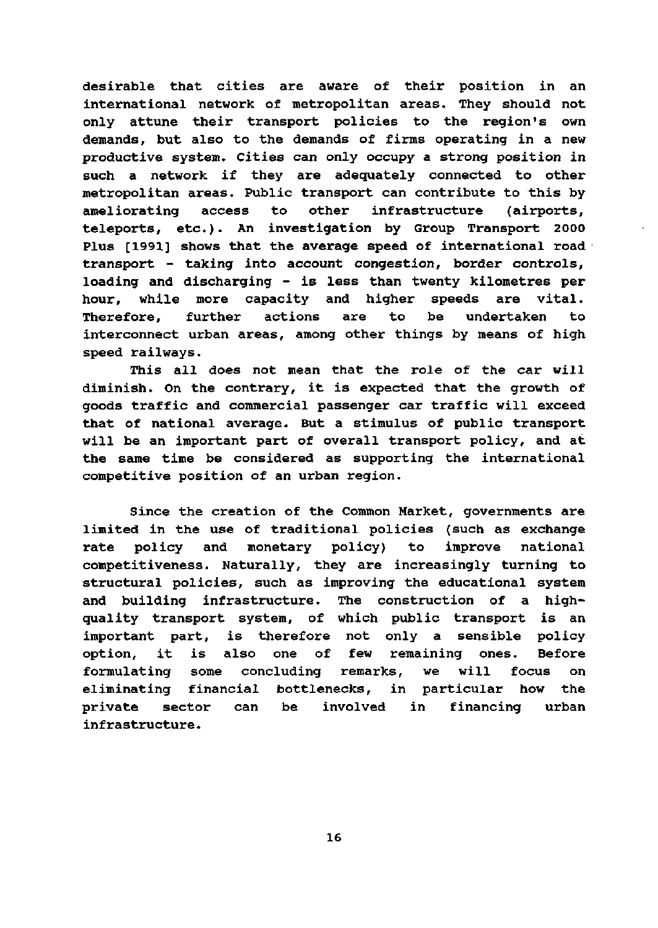desirable that cities are aware of their position in an international network of metropolitan areas. They should not only attune their transport policies to the region's own demands, but also to the demands of firms operating in a new productive system. Cities can only occupy a strong position in such a network if they are adequately connected to other metropolitan areas. Public transport can contribute to this by ameliorating access to other infrastructure (airports, teleports, etc) . An investigation by Group Transport 2000 Plus [1991] shows that the average speed of international road transport - taking into account congestion, border controls, loading and discharging - is less than twenty kilometres per hour, while more capacity and higher speeds are vital. Therefore, further actions are to be undertaken to interconnect urban areas, among other things by means of high speed railways.

This all does not mean that the role of the car will diminish. On the contrary, it is expected that the growth of goods traffic and commercial passenger car traffic will exceed that of national average. But a stimulus of public transport will be an important part of overall transport policy, and at the same time be considered as supporting the international competitive position of an urban region.

Since the creation of the Common Market, governments are limited in the use of traditional policies (such as exchange rate policy and monetary policy) to improve national competitiveness. Naturally, they are increasingly turning to structural policies, such as improving the educational system and building infrastructure. The construction of a highquality transport system, of which public transport is an important part, is therefore not only a sensible policy option, it is also one of few remaining ones. Before formulating some concluding remarks, we will focus on eliminating financial bottlenecks, in particular how the private sector can be involved in financing urban infrastructure.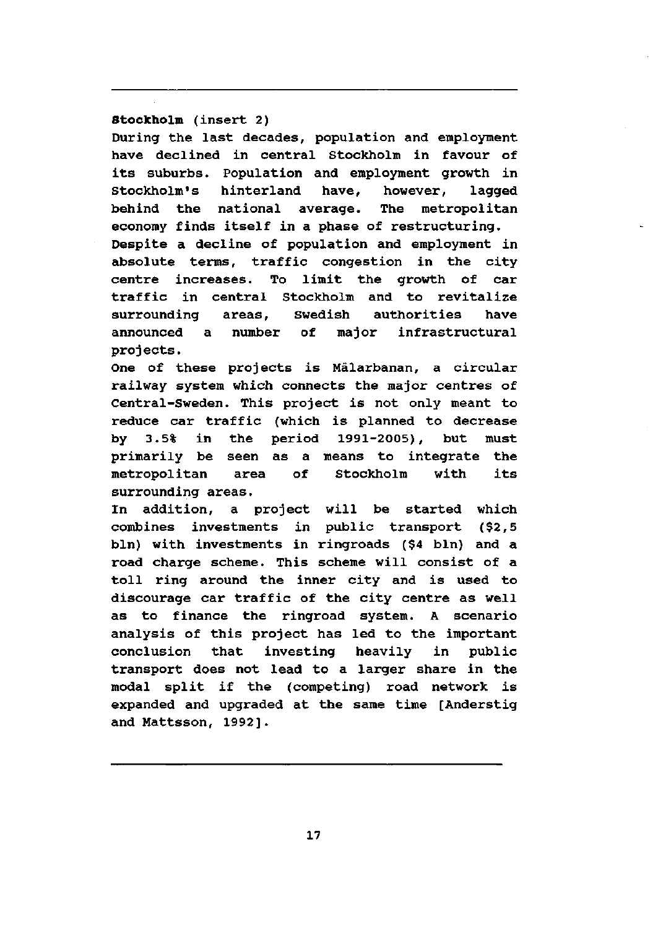## **Stockholm** (insert 2)

During the last decades, population and employment have declined in central Stockholm in favour of its suburbs. Population and employment growth in Stockholm's hinterland have, however, lagged behind the national average. The metropolitan economy finds itself in a phase of restructuring. Despite a decline of population and employment in absolute terms, traffic congestion in the city centre increases. To limit the growth of car traffic in central Stockholm and to revitalize surrounding areas, Swedish authorities have announced a number of major infrastructural proj ects.

One of these projects is Malarbanan, a circular railway system which connects the major centres of Central-Sweden. This project is not only meant to reduce car traffic (which is planned to decrease by 3.5% in the period 1991-2005), but must primarily be seen as a means to integrate the metropolitan area of Stockholm with its surrounding areas.

In addition, a project will be started which combines investments in public transport (\$2,5 bln) with investments in ringroads (\$4 bln) and a road charge scheme. This scheme will consist of a toll ring around the inner city and is used to discourage car traffic of the city centre as well as to finance the ringroad system. A scenario analysis of this project has led to the important conclusion that investing heavily in public transport does not lead to a larger share in the modal split if the (competing) road network is expanded and upgraded at the same time [Anderstig and Mattsson, 1992].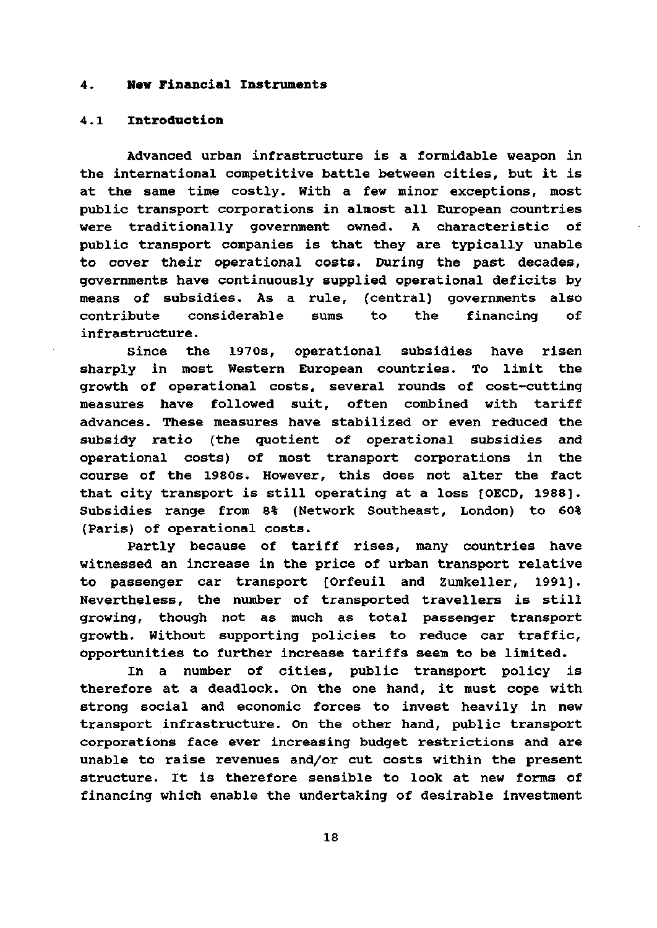#### **4. New Financial Instruments**

## **4.**l **Introduction**

Advanced urban infrastructure is a formidable weapon in the international competitive battle between cities, but it is at the same time costly. With a few minor exceptions, most public transport corporations in almost all European countries were traditionally government owned. A characteristic of public transport companies is that they are typically unable to cover their operational costs. During the past decades, governments have continuously supplied operational deficits by means of subsidies. As a rule, (central) governments also contribute considerable sums to the financing of infrastructure.

Since the 1970s, operational subsidies have risen sharply in most Western European countries. To limit the growth of operational costs, several rounds of cost-cutting measures have foliowed suit, often combined with tariff advances. These measures have stabilized or even reduced the subsidy ratio (the quotient of operational subsidies and operational costs) of most transport corporations in the course of the 1980s. However, this does not alter the fact that city transport is still operating at a loss [OECD, 1988]. Subsidies range from 8% (Network Southeast, London) to 60% (Paris) of operational costs.

Partly because of tariff rises, many countries have witnessed an increase in the price of urban transport relative to passenger car transport [Orfeuil and Zumkeller, 1991]. Nevertheless, the number of transported travellers is still growing, though not as much as total passenger transport growth. Without supporting policies to reduce car traffic, opportunities to further increase tariffs seem to be limited.

In a number of cities, public transport policy is therefore at a deadlock. On the one hand, it must cope with strong social and economie forces to invest heavily in new transport infrastructure. On the other hand, public transport corporations face ever increasing budget restrictions and are unable to raise revenues and/or cut costs within the present structure. It is therefore sensible to look at new forms of financing which enable the undertaking of desirable investment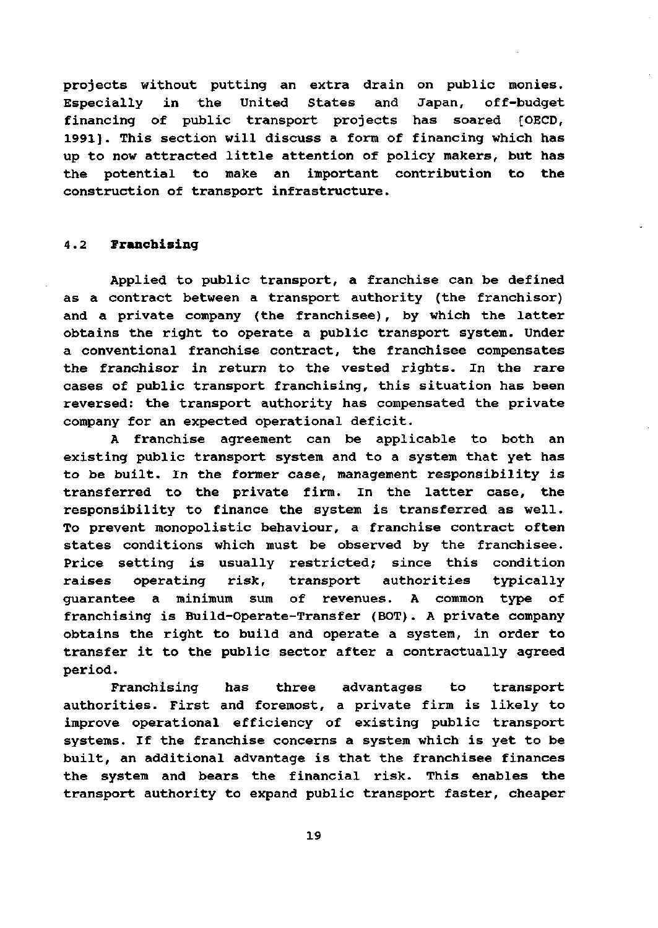projects without putting an extra drain on public monies. Especially in the United States and Japan, off-budget financing of public transport projects has soared {OECD, 1991]. This section will discuss a form of financing which has up to now attracted little attention of policy makers, but has the potential to make an important contribution to the construction of transport infrastructure.

#### 4.2 Franchising

Applied to public transport, a franchise can be defined as a contract between a transport authority (the franchisor) and a private company (the franchisee), by which the latter obtains the right to operate a public transport system. Under a conventional franchise contract, the franchisee compensates the franchisor in return to the vested rights. In the rare cases of public transport franchising, this situation has been reversed: the transport authority has compensated the private company for an expected operational deficit.

A franchise agreement can be applicable to both an existing public transport system and to a system that yet has to be built. In the former case, management responsibility is transferred to the private firm. In the latter case, the responsibility to finance the system is transferred as well. To prevent monopolistic behaviour, a franchise contract often states conditions which must be observed by the franchisee. Price setting is usually restricted; since this condition raises operating risk, transport authorities typically guarantee a minimum sum of revenues. A common type of franchising is Build-Operate-Transfer (BOT). A private company obtains the right to build and operate a system, in order to transfer it to the public sector after a contractually agreed period.

Franchising has three advantages to transport authorities. First and foremost, a private firm is likely to improve operational efficiency of existing public transport systems. If the franchise concerns a system which is yet to be built, an additional advantage is that the franchisee finances the system and bears the financial risk. This enables the transport authority to expand public transport faster, cheaper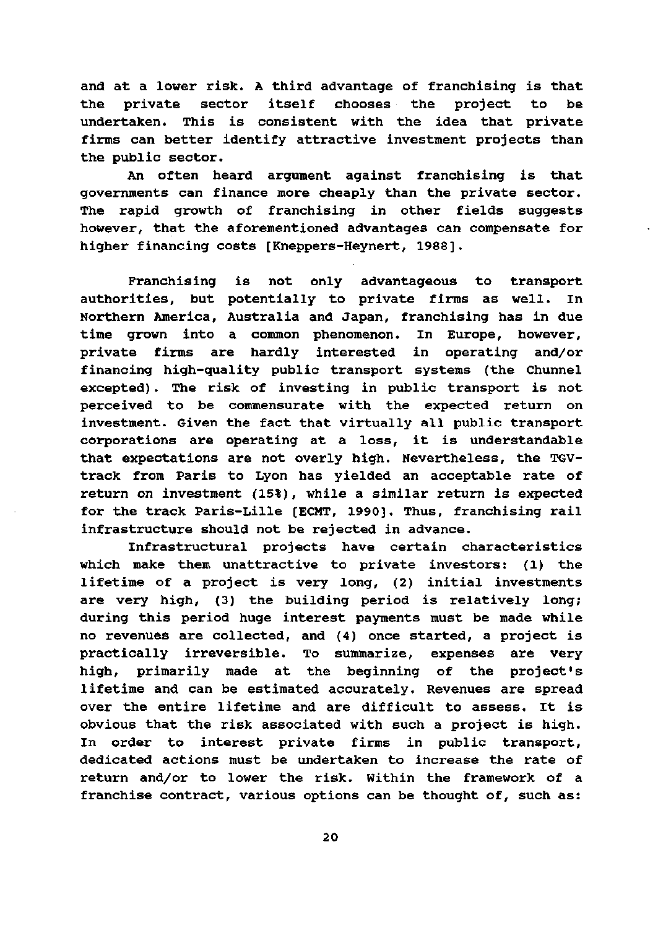and at a lower risk. A third advantage of franchising is that the private sector itself chooses the project to be undertaken. This is consistent with the idea that private firms can better identify attractive investment projeets than the public sector.

An often heard argument against franchising is that governments can finance more cheaply than the private sector. The rapid growth of franchising in other fields suggests however, that the aforementioned advantages can compensate for higher financing costs [Kneppers-Heynert, 1988].

Franchising is not only advantageous to transport authorities, but potentially to private firms as well. In Northern America, Australia and Japan, franchising has in due time grown into a common phenomenon. In Europe, however, private firms are hardly interested in operating and/or financing high-quality public transport systems (the Chunnel excepted). The risk of investing in public transport is not perceived to be commensurate with the expected return on investment. Given the fact that virtually all public transport corporations are operating at a loss, it is understandable that expectations are not overly high. Nevertheless, the TGVtrack from Paris to Lyon has yielded an acceptable rate of return on investment (15%), while a similar return is expected for the track Paris-Lille [ECMT, 1990]. Thus, franchising rail infrastructure should not be rejected in advance.

Infrastructural projects have certain characteristics which make them unattractive to private investors: (1) the lifetime of a project is very long, (2) initial investments are very high, (3) the building period is relatively long; during this period huge interest payments must be made while no revenues are collected, and (4) once started, a project is practically irreversible. To summarize, expenses are very high, primarily made at the beginning of the project's lifetime and can be estimated accurately. Revenues are spread over the entire lifetime and are difficult to assess. It is obvious that the risk associated with such a project is high. In order to interest private firms in public transport, dedicated actions must be undertaken to increase the rate of return and/or to lower the risk. Within the framework of a franchise contract, various options can be thought of, such as: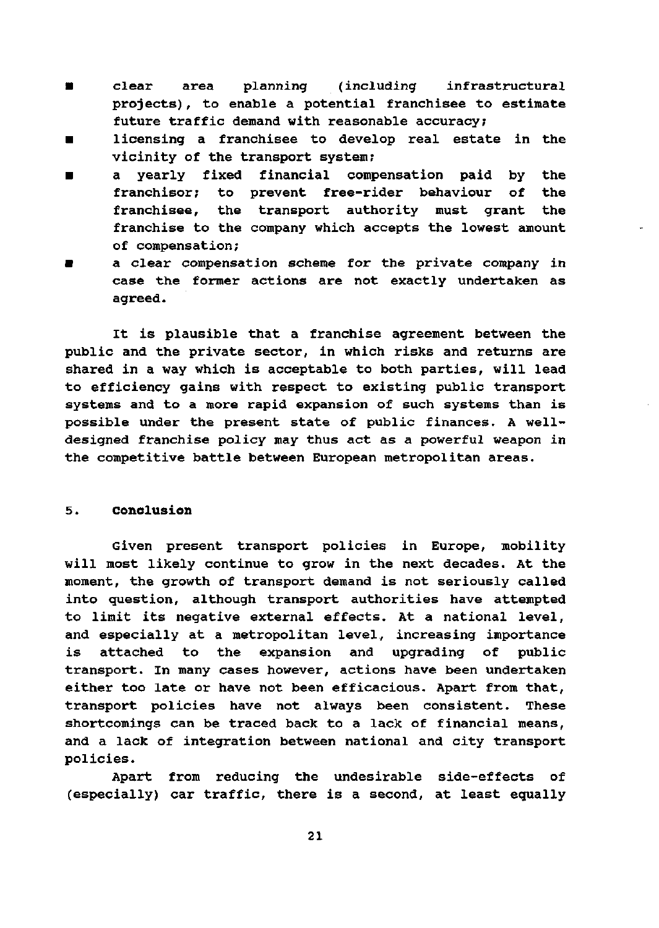- clear area planning (including infrastructural projects), to enable a potential franchisee to estimate future traffic demand with reasonable accuracy;
- licensing a franchisee to develop real estate in the vicinity of the transport system;
- a yearly fixed financial compensation paid by the franchisor; to prevent free-rider behaviour of the franchisee, the transport authority must grant the franchise to the company which accepts the lowest amount of compensation;
- a clear compensation scheme for the private company in case the former actions are not exactly undertaken as agreed.

It is plausible that a franchise agreement between the public and the private sector, in which risks and returns are shared in a way which is acceptable to both parties, will lead to efficiency gains with respect to existing public transport systems and to a more rapid expansion of such systems than is possible under the present state of public finances. A welldesigned franchise policy may thus act as a powerful weapon in the competitive battle between European metropolitan areas.

#### 5. Conclusion

Given present transport policies in Europe, mobility will most likely continue to grow in the next decades. At the moment, the growth of transport demand is not seriously called into question, although transport authorities have attempted to limit its negative external effects. At a national level, and especially at a metropolitan level, increasing importance is attached to the expansion and upgrading of public transport. In many cases however, actions have been undertaken either too late or have not been efficacious. Apart from that, transport policies have not always been consistent. These shortcomings can be traced back to a lack of financial means, and a lack of integration between national and city transport policies.

Apart from reducing the undesirable side-effects of (especially) car traffic, there is a second, at least equally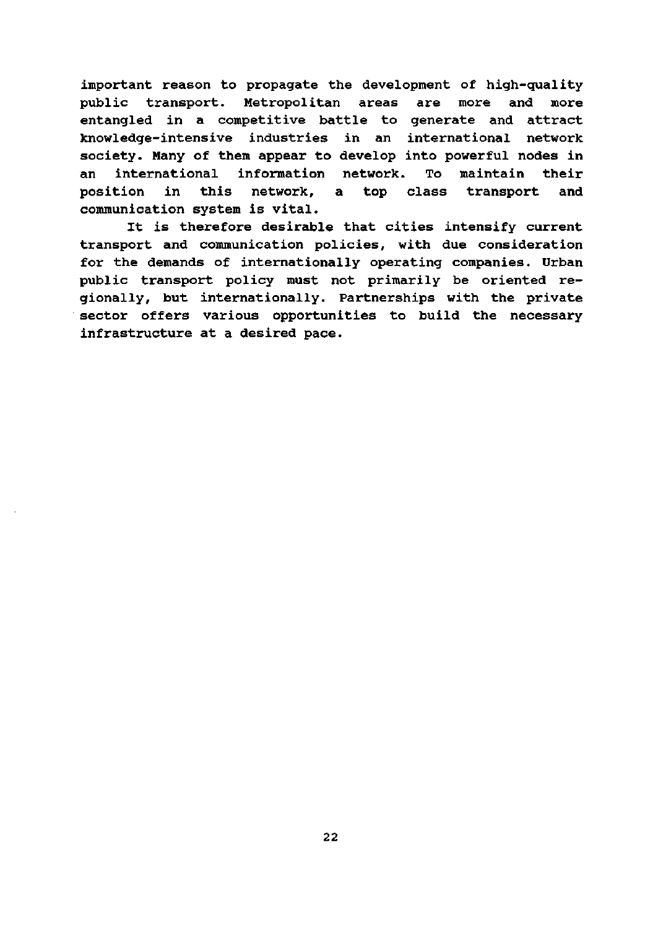important reason to propagate the development of high-quality public transport. Metropolitan areas are more and more entangled in a competitive battle to generate and attract knowledge-intensive industries in an international network society. Many of them appear to develop into powerful nodes in an international information network. To maintain their position in this network, a top class transport and communication system is vital.

It is therefore desirable that cities intensify current transport and communication policies, with due consideration for the demands of internationally operating companies. Urban public transport policy must not primarily be oriented regionally, but internationally. Partnerships with the private sector offers various opportunities to build the necessary infrastructure at a desired pace.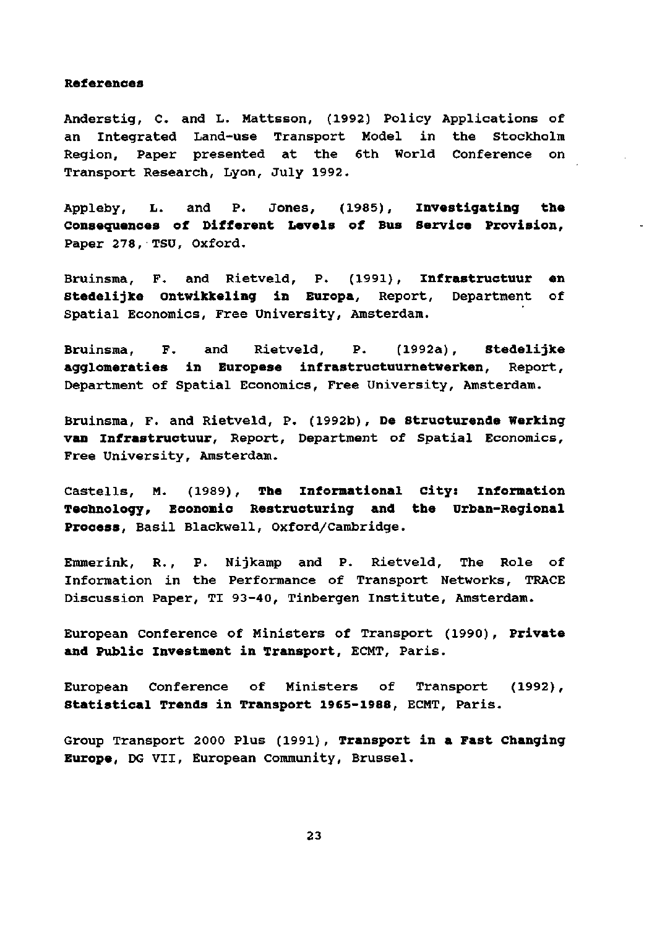#### **References**

Anderstig, C. and L. Mattsson, (1992) Policy Applications of an Integrated Land-use Transport Model in the Stockholm Region, Paper presented at the 6th World Conference on Transport Research, Lyon, July 1992.

Appleby, L. and P. Jones, (1985), **Investigating the Consequences of Different LeveIs of Bus Service Provision,**  Paper 278, TSU, Oxford.

Bruinsma, F. and Rietveld, P. (1991), **Infrastructuur en Stedelijke Ontwikkeling in Europa,** Report, Department of Spatial Economics, Free University, Amsterdam.

Bruinsma, F. and Rietveld, P. (1992a), **Stedelijke agglomeraties in Europese infrastructuurnetwerken,** Report, Department of Spatial Economics, Free University, Amsterdam.

Bruinsma, F. and Rietveld, P. (1992b), **De Structurende Werking van Infrastructuur,** Report, Department of Spatial Economics, Free University, Amsterdam.

Castells, M. (1989), **The informational city: Information Technology/ Economie Restructuring and the Urban-Regional Process,** Basil Blackwell, Oxford/Cambridge.

Emmerink, R., P. Nijkamp and P. Rietveld, The Role of Information in the Performance of Transport Networks, TRACÉ Discussion Paper, TI 93-40, Tinbergen Institute, Amsterdam.

European Conference of Ministers of Transport (1990), **Private and Public Investment in Transport,** ECMT, Paris.

European Conference of Ministers of Transport (1992), **Statistical Trends in Transport 1965-1988,** ECMT, Paris.

Group Transport 2000 Plus (1991), **Transport in a Fast Changing Europe,** DG VII, European Community, Brussel.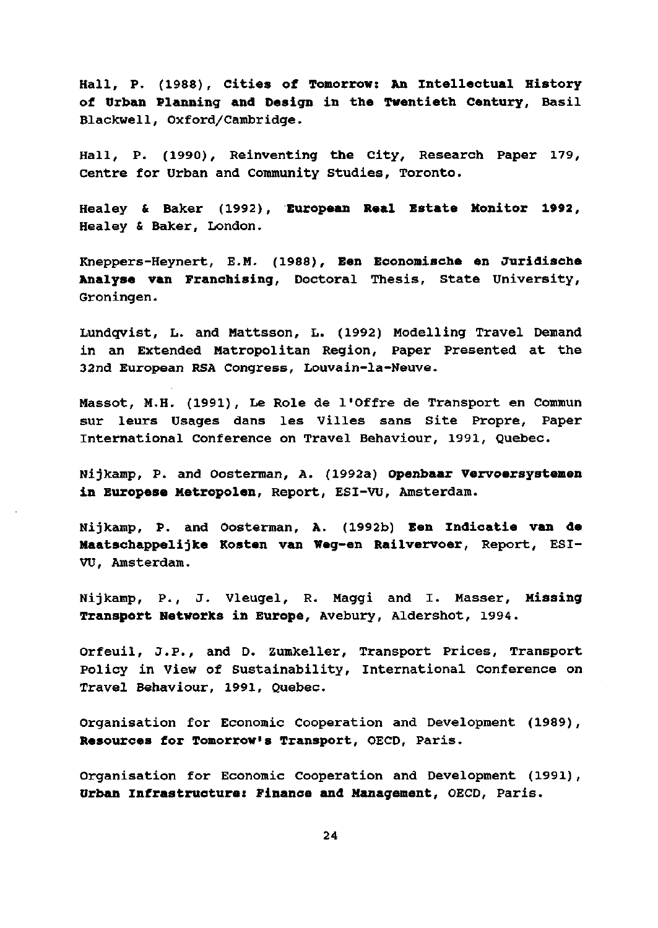Hall, P. (1988), **Cities of Tomorrow: An Intellectual History of Urban Planning and Design in the Twentieth Century,** Basil Blackwell, Oxford/Cambridge.

Hall, P. (1990), Reinventing the City, Research Paper 179, Centre for Urban and Community Studies, Toronto.

Healey & Baker (1992), **European Real Estate Monitor 1992,**  Healey & Baker, London.

Kneppers-Heynert, E.M. (1988), **Een Economische en Juridische Analyse van Franchising,** Doetoral Thesis, State University, Groningen.

Lundqvist, L. and Mattsson, L. (1992) Modelling Travel Demand in an Extended Matropolitan Region, Paper Presented at the 32nd European RSA Congress, Louvain-la-Neuve.

Massot, M.H. (1991), Le Role de 1'Offre de Transport en Commun sur leurs Usages dans les Villes sans Site Propre, Paper International Conference on Travel Behaviour, 1991, Quebec.

Nijkamp, P. and Oosterman, A. (1992a) **Openbaar Vervoersystemen in Europese Metropolen,** Report, ESI-VU, Amsterdam.

Nijkamp, P. and Oosterman, A. (1992b) **Een Indicatie van de Maatschappelijke Kosten van Weg-en Railvervoer,** Report, ESI-VU, Amsterdam.

Nijkamp, P., J. Vleugel, R. Maggi and I. Masser, **Missing Transport Networks in Europe,** Avebury, Aldershot, 1994.

Orfeuil, J.P., and D. Zumkeller, Transport Prices, Transport Policy in View of Sustainability, International Conference on Travel Behaviour, 1991, Quebec.

Organisation for Economie Cooperation and Development (1989), **Resources for Tomorrow's Transport,** OECD, Paris.

Organisation for Economie Cooperation and Development (1991), **Urban Infrastructure: Finance and Management,** OECD, Paris.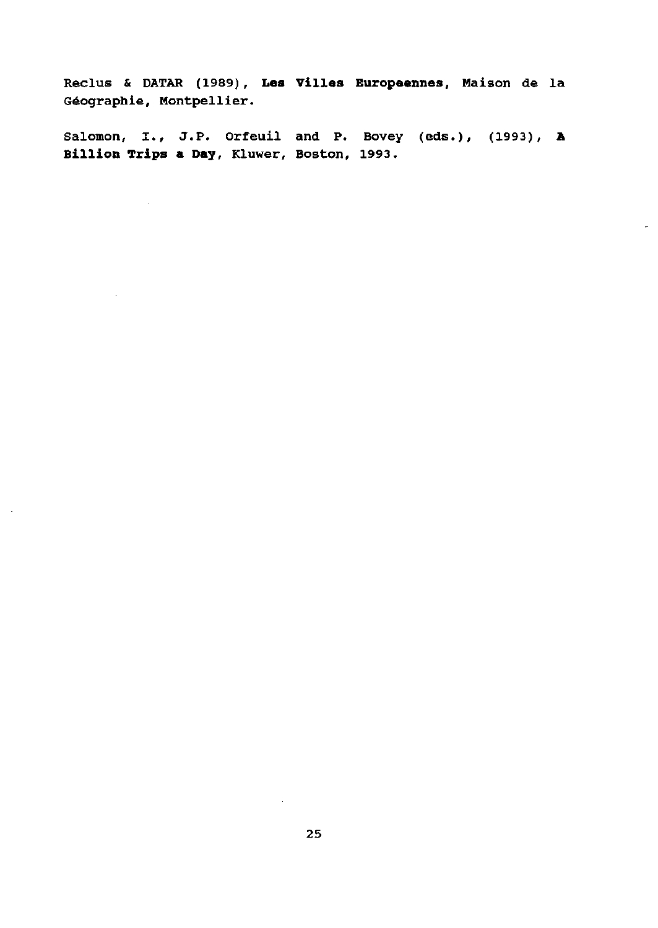Reclus & DATAR (1989), **Les** Villes Europeennes, Maison de la Géographie, Montpellier.

Salomon, I., J.P. Orfeuil and P. Bovey (eds.), (1993), A Billion Trips **a Day,** Kluwer, Boston, 1993.

 $\mathcal{L}^{\mathcal{L}}$